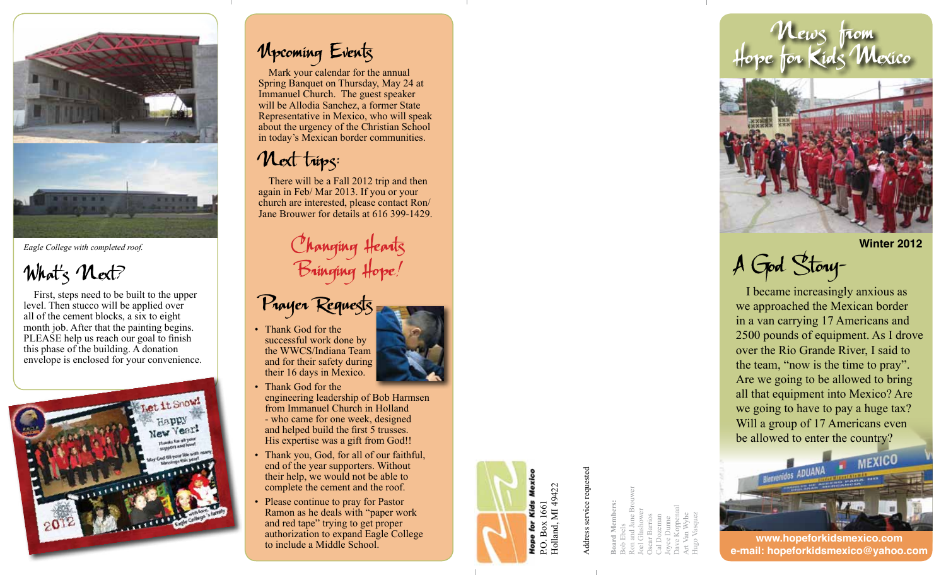

*Eagle College with completed roof.*



First, steps need to be built to the upper level. Then stucco will be applied over all of the cement blocks, a six to eight month job. After that the painting begins. PLEASE help us reach our goal to finish this phase of the building. A donation envelope is enclosed for your convenience.



## Upcoming Events

Mark your calendar for the annual Spring Banquet on Thursday, May 24 at Immanuel Church. The guest speaker will be Allodia Sanchez, a former State Representative in Mexico, who will speak about the urgency of the Christian School in today's Mexican border communities.

## Next trips:

There will be a Fall 2012 trip and then again in Feb/ Mar 2013. If you or your church are interested, please contact Ron/ Jane Brouwer for details at 616 399-1429.

> C hanging Hearts Bringing Hope!



• Thank God for the successful work done by the WWCS/Indiana Team and for their safety during their 16 days in Mexico.

- Thank God for the engineering leadership of Bob Harmsen from Immanuel Church in Holland - who came for one week, designed and helped build the first 5 trusses. His expertise was a gift from God!!
- Thank you, God, for all of our faithful, end of the year supporters. Without their help, we would not be able to complete the cement and the roof.
- Please continue to pray for Pastor Ramon as he deals with "paper work and red tape" trying to get proper authorization to expand Eagle College to include a Middle School.

P.O. Box 1661 Holland, MI 49422 Address service requested

**Board Members:** Bob Ebels Ron and Jane Brouwer Joel Glashower Oscar Barrios Cal Dozeman Joyce Dunne Dave Koppenaal Art Van Wyhe

Hugo Vasquez

News from Hope for Kids Mexico



**Winter 2012**

A God Story-

I became increasingly anxious as we approached the Mexican border in a van carrying 17 Americans and 2500 pounds of equipment. As I drove over the Rio Grande River, I said to the team, "now is the time to pray". Are we going to be allowed to bring all that equipment into Mexico? Are we going to have to pay a huge tax? Will a group of 17 Americans even be allowed to enter the country?



**www.hopeforkidsmexico.com e-mail: hopeforkidsmexico@yahoo.com**